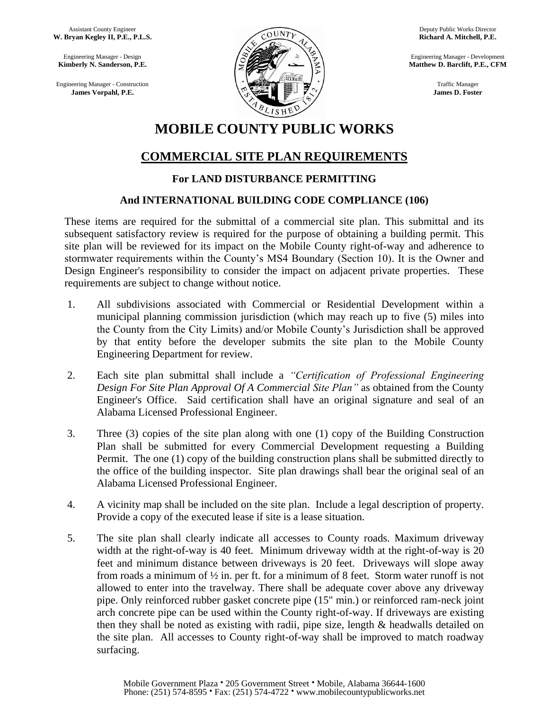Assistant County Engineer  **W. Bryan Kegley II, P.E., P.L.S.**

 Engineering Manager - Design  **Kimberly N. Sanderson, P.E.**

 Engineering Manager - Construction  **James Vorpahl, P.E.**



Deputy Public Works Director **Richard A. Mitchell, P.E.**

Engineering Manager - Development **Matthew D. Barclift, P.E., CFM**

> Traffic Manager **James D. Foster**

# **MOBILE COUNTY PUBLIC WORKS**

### **COMMERCIAL SITE PLAN REQUIREMENTS**

#### **For LAND DISTURBANCE PERMITTING**

#### **And INTERNATIONAL BUILDING CODE COMPLIANCE (106)**

These items are required for the submittal of a commercial site plan. This submittal and its subsequent satisfactory review is required for the purpose of obtaining a building permit. This site plan will be reviewed for its impact on the Mobile County right-of-way and adherence to stormwater requirements within the County's MS4 Boundary (Section 10). It is the Owner and Design Engineer's responsibility to consider the impact on adjacent private properties. These requirements are subject to change without notice.

- 1. All subdivisions associated with Commercial or Residential Development within a municipal planning commission jurisdiction (which may reach up to five (5) miles into the County from the City Limits) and/or Mobile County's Jurisdiction shall be approved by that entity before the developer submits the site plan to the Mobile County Engineering Department for review.
- 2. Each site plan submittal shall include a *"Certification of Professional Engineering Design For Site Plan Approval Of A Commercial Site Plan"* as obtained from the County Engineer's Office. Said certification shall have an original signature and seal of an Alabama Licensed Professional Engineer.
- 3. Three (3) copies of the site plan along with one (1) copy of the Building Construction Plan shall be submitted for every Commercial Development requesting a Building Permit. The one (1) copy of the building construction plans shall be submitted directly to the office of the building inspector. Site plan drawings shall bear the original seal of an Alabama Licensed Professional Engineer.
- 4. A vicinity map shall be included on the site plan. Include a legal description of property. Provide a copy of the executed lease if site is a lease situation.
- 5. The site plan shall clearly indicate all accesses to County roads. Maximum driveway width at the right-of-way is 40 feet. Minimum driveway width at the right-of-way is 20 feet and minimum distance between driveways is 20 feet. Driveways will slope away from roads a minimum of  $\frac{1}{2}$  in. per ft. for a minimum of 8 feet. Storm water runoff is not allowed to enter into the travelway. There shall be adequate cover above any driveway pipe. Only reinforced rubber gasket concrete pipe (15" min.) or reinforced ram-neck joint arch concrete pipe can be used within the County right-of-way. If driveways are existing then they shall be noted as existing with radii, pipe size, length & headwalls detailed on the site plan. All accesses to County right-of-way shall be improved to match roadway surfacing.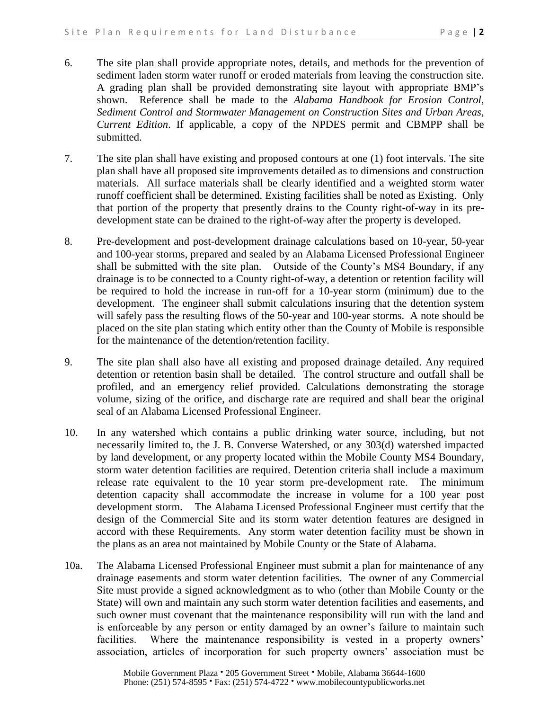- 6. The site plan shall provide appropriate notes, details, and methods for the prevention of sediment laden storm water runoff or eroded materials from leaving the construction site. A grading plan shall be provided demonstrating site layout with appropriate BMP's shown. Reference shall be made to the *Alabama Handbook for Erosion Control, Sediment Control and Stormwater Management on Construction Sites and Urban Areas, Current Edition*. If applicable, a copy of the NPDES permit and CBMPP shall be submitted.
- 7. The site plan shall have existing and proposed contours at one (1) foot intervals. The site plan shall have all proposed site improvements detailed as to dimensions and construction materials. All surface materials shall be clearly identified and a weighted storm water runoff coefficient shall be determined. Existing facilities shall be noted as Existing. Only that portion of the property that presently drains to the County right-of-way in its predevelopment state can be drained to the right-of-way after the property is developed.
- 8. Pre-development and post-development drainage calculations based on 10-year, 50-year and 100-year storms, prepared and sealed by an Alabama Licensed Professional Engineer shall be submitted with the site plan. Outside of the County's MS4 Boundary, if any drainage is to be connected to a County right-of-way, a detention or retention facility will be required to hold the increase in run-off for a 10-year storm (minimum) due to the development. The engineer shall submit calculations insuring that the detention system will safely pass the resulting flows of the 50-year and 100-year storms. A note should be placed on the site plan stating which entity other than the County of Mobile is responsible for the maintenance of the detention/retention facility.
- 9. The site plan shall also have all existing and proposed drainage detailed. Any required detention or retention basin shall be detailed. The control structure and outfall shall be profiled, and an emergency relief provided. Calculations demonstrating the storage volume, sizing of the orifice, and discharge rate are required and shall bear the original seal of an Alabama Licensed Professional Engineer.
- 10. In any watershed which contains a public drinking water source, including, but not necessarily limited to, the J. B. Converse Watershed, or any 303(d) watershed impacted by land development, or any property located within the Mobile County MS4 Boundary, storm water detention facilities are required. Detention criteria shall include a maximum release rate equivalent to the 10 year storm pre-development rate. The minimum detention capacity shall accommodate the increase in volume for a 100 year post development storm. The Alabama Licensed Professional Engineer must certify that the design of the Commercial Site and its storm water detention features are designed in accord with these Requirements. Any storm water detention facility must be shown in the plans as an area not maintained by Mobile County or the State of Alabama.
- 10a. The Alabama Licensed Professional Engineer must submit a plan for maintenance of any drainage easements and storm water detention facilities. The owner of any Commercial Site must provide a signed acknowledgment as to who (other than Mobile County or the State) will own and maintain any such storm water detention facilities and easements, and such owner must covenant that the maintenance responsibility will run with the land and is enforceable by any person or entity damaged by an owner's failure to maintain such facilities. Where the maintenance responsibility is vested in a property owners' association, articles of incorporation for such property owners' association must be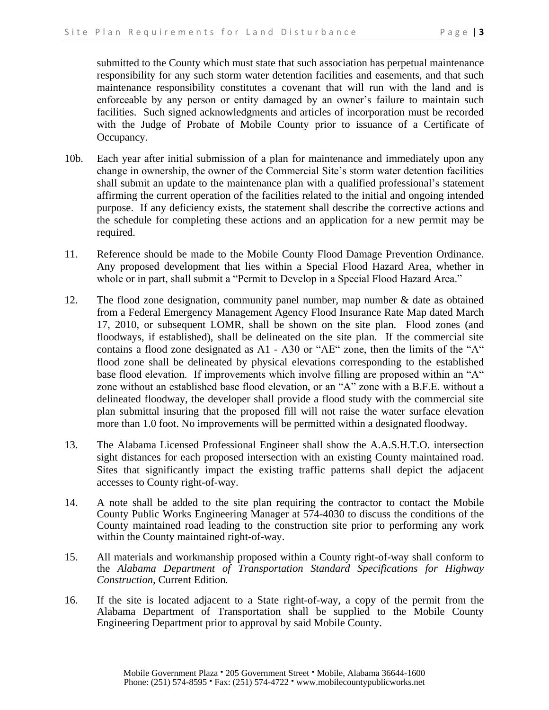submitted to the County which must state that such association has perpetual maintenance responsibility for any such storm water detention facilities and easements, and that such maintenance responsibility constitutes a covenant that will run with the land and is enforceable by any person or entity damaged by an owner's failure to maintain such facilities. Such signed acknowledgments and articles of incorporation must be recorded with the Judge of Probate of Mobile County prior to issuance of a Certificate of Occupancy.

- 10b. Each year after initial submission of a plan for maintenance and immediately upon any change in ownership, the owner of the Commercial Site's storm water detention facilities shall submit an update to the maintenance plan with a qualified professional's statement affirming the current operation of the facilities related to the initial and ongoing intended purpose. If any deficiency exists, the statement shall describe the corrective actions and the schedule for completing these actions and an application for a new permit may be required.
- 11. Reference should be made to the Mobile County Flood Damage Prevention Ordinance. Any proposed development that lies within a Special Flood Hazard Area, whether in whole or in part, shall submit a "Permit to Develop in a Special Flood Hazard Area."
- 12. The flood zone designation, community panel number, map number & date as obtained from a Federal Emergency Management Agency Flood Insurance Rate Map dated March 17, 2010, or subsequent LOMR, shall be shown on the site plan. Flood zones (and floodways, if established), shall be delineated on the site plan. If the commercial site contains a flood zone designated as A1 - A30 or "AE" zone, then the limits of the "A" flood zone shall be delineated by physical elevations corresponding to the established base flood elevation. If improvements which involve filling are proposed within an "A" zone without an established base flood elevation, or an "A" zone with a B.F.E. without a delineated floodway, the developer shall provide a flood study with the commercial site plan submittal insuring that the proposed fill will not raise the water surface elevation more than 1.0 foot. No improvements will be permitted within a designated floodway.
- 13. The Alabama Licensed Professional Engineer shall show the A.A.S.H.T.O. intersection sight distances for each proposed intersection with an existing County maintained road. Sites that significantly impact the existing traffic patterns shall depict the adjacent accesses to County right-of-way.
- 14. A note shall be added to the site plan requiring the contractor to contact the Mobile County Public Works Engineering Manager at 574-4030 to discuss the conditions of the County maintained road leading to the construction site prior to performing any work within the County maintained right-of-way.
- 15. All materials and workmanship proposed within a County right-of-way shall conform to the *Alabama Department of Transportation Standard Specifications for Highway Construction,* Current Edition*.*
- 16. If the site is located adjacent to a State right-of-way, a copy of the permit from the Alabama Department of Transportation shall be supplied to the Mobile County Engineering Department prior to approval by said Mobile County.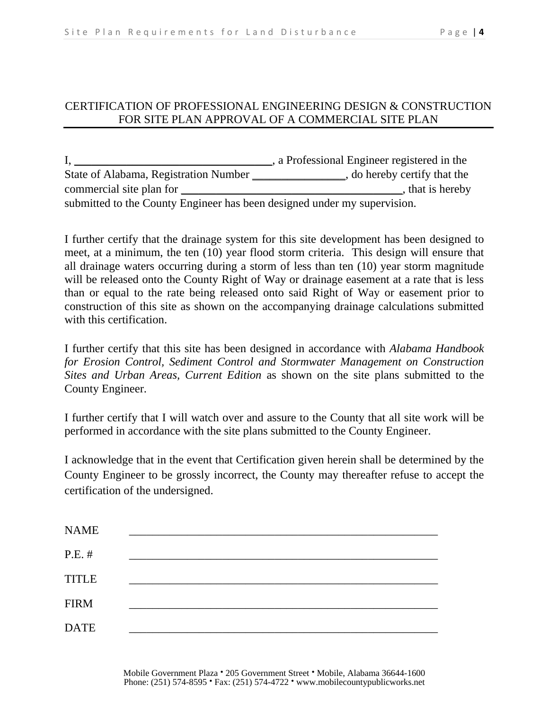#### CERTIFICATION OF PROFESSIONAL ENGINEERING DESIGN & CONSTRUCTION FOR SITE PLAN APPROVAL OF A COMMERCIAL SITE PLAN

I, \_\_\_\_\_\_\_\_\_\_\_\_\_\_\_\_\_\_\_\_\_\_\_\_\_\_\_\_\_\_\_\_\_\_, a Professional Engineer registered in the State of Alabama, Registration Number \_\_\_\_\_\_\_\_\_\_\_\_\_\_\_, do hereby certify that the commercial site plan for \_\_\_\_\_\_\_\_\_\_\_\_\_\_\_\_\_\_\_\_\_\_\_\_\_\_\_\_\_\_\_\_\_\_\_\_\_\_, that is hereby submitted to the County Engineer has been designed under my supervision.

I further certify that the drainage system for this site development has been designed to meet, at a minimum, the ten (10) year flood storm criteria. This design will ensure that all drainage waters occurring during a storm of less than ten (10) year storm magnitude will be released onto the County Right of Way or drainage easement at a rate that is less than or equal to the rate being released onto said Right of Way or easement prior to construction of this site as shown on the accompanying drainage calculations submitted with this certification.

I further certify that this site has been designed in accordance with *Alabama Handbook for Erosion Control, Sediment Control and Stormwater Management on Construction Sites and Urban Areas, Current Edition* as shown on the site plans submitted to the County Engineer.

I further certify that I will watch over and assure to the County that all site work will be performed in accordance with the site plans submitted to the County Engineer.

I acknowledge that in the event that Certification given herein shall be determined by the County Engineer to be grossly incorrect, the County may thereafter refuse to accept the certification of the undersigned.

| <b>NAME</b>  |  |
|--------------|--|
| $P.E.$ #     |  |
| <b>TITLE</b> |  |
| <b>FIRM</b>  |  |
| <b>DATE</b>  |  |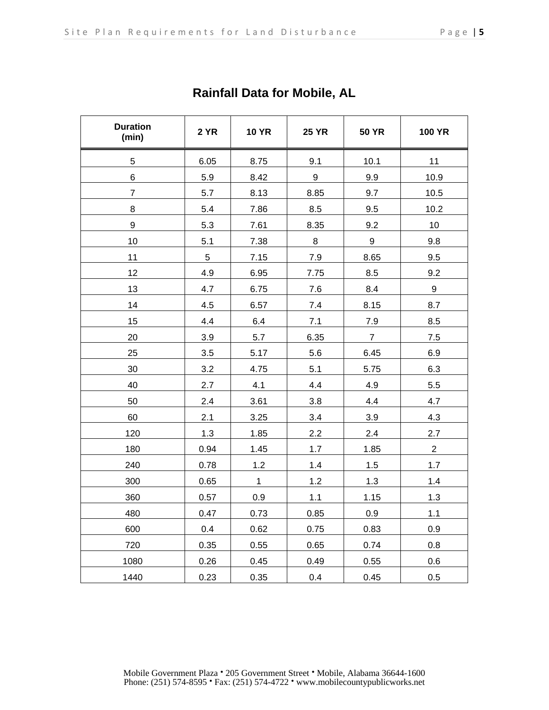| <b>Duration</b><br>(min) | <b>2 YR</b> | <b>10 YR</b> | <b>25 YR</b> | <b>50 YR</b>   | <b>100 YR</b>  |
|--------------------------|-------------|--------------|--------------|----------------|----------------|
| 5                        | 6.05        | 8.75         | 9.1          | 10.1           | 11             |
| 6                        | 5.9         | 8.42         | 9            | 9.9            | 10.9           |
| $\overline{7}$           | 5.7         | 8.13         | 8.85         | 9.7            | 10.5           |
| 8                        | 5.4         | 7.86         | 8.5          | 9.5            | 10.2           |
| 9                        | 5.3         | 7.61         | 8.35         | 9.2            | 10             |
| 10                       | 5.1         | 7.38         | 8            | 9              | 9.8            |
| 11                       | 5           | 7.15         | 7.9          | 8.65           | 9.5            |
| 12                       | 4.9         | 6.95         | 7.75         | 8.5            | 9.2            |
| 13                       | 4.7         | 6.75         | 7.6          | 8.4            | 9              |
| 14                       | 4.5         | 6.57         | 7.4          | 8.15           | 8.7            |
| 15                       | 4.4         | 6.4          | 7.1          | $7.9$          | 8.5            |
| 20                       | 3.9         | 5.7          | 6.35         | $\overline{7}$ | 7.5            |
| 25                       | 3.5         | 5.17         | 5.6          | 6.45           | 6.9            |
| 30                       | 3.2         | 4.75         | 5.1          | 5.75           | 6.3            |
| 40                       | 2.7         | 4.1          | 4.4          | 4.9            | 5.5            |
| 50                       | 2.4         | 3.61         | 3.8          | 4.4            | 4.7            |
| 60                       | 2.1         | 3.25         | 3.4          | 3.9            | 4.3            |
| 120                      | 1.3         | 1.85         | 2.2          | 2.4            | 2.7            |
| 180                      | 0.94        | 1.45         | 1.7          | 1.85           | $\overline{2}$ |
| 240                      | 0.78        | 1.2          | 1.4          | 1.5            | 1.7            |
| 300                      | 0.65        | $\mathbf 1$  | 1.2          | 1.3            | 1.4            |
| 360                      | 0.57        | 0.9          | 1.1          | 1.15           | 1.3            |
| 480                      | 0.47        | 0.73         | 0.85         | 0.9            | 1.1            |
| 600                      | 0.4         | 0.62         | 0.75         | 0.83           | 0.9            |
| 720                      | 0.35        | 0.55         | 0.65         | 0.74           | 0.8            |
| 1080                     | 0.26        | 0.45         | 0.49         | 0.55           | 0.6            |
| 1440                     | 0.23        | 0.35         | 0.4          | 0.45           | 0.5            |

**Rainfall Data for Mobile, AL**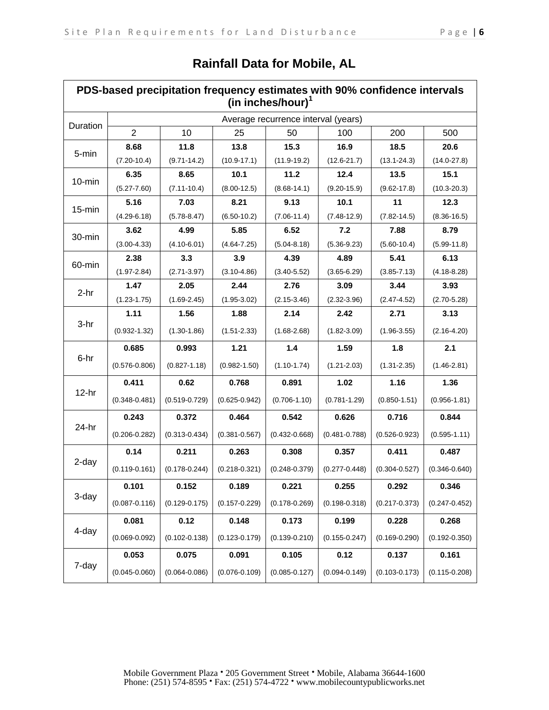| PDS-based precipitation frequency estimates with 90% confidence intervals<br>(in inches/hour) $^1$ |                   |                   |                   |                   |                   |                   |                   |
|----------------------------------------------------------------------------------------------------|-------------------|-------------------|-------------------|-------------------|-------------------|-------------------|-------------------|
| Average recurrence interval (years)                                                                |                   |                   |                   |                   |                   |                   |                   |
| Duration                                                                                           | $\overline{2}$    | 10                | 25                | 50                | 100               | 200               | 500               |
| 5-min                                                                                              | 8.68              | 11.8              | 13.8              | 15.3              | 16.9              | 18.5              | 20.6              |
|                                                                                                    | $(7.20 - 10.4)$   | $(9.71 - 14.2)$   | $(10.9 - 17.1)$   | $(11.9 - 19.2)$   | $(12.6 - 21.7)$   | $(13.1 - 24.3)$   | $(14.0 - 27.8)$   |
| $10$ -min                                                                                          | 6.35              | 8.65              | 10.1              | 11.2              | 12.4              | 13.5              | 15.1              |
|                                                                                                    | $(5.27 - 7.60)$   | $(7.11 - 10.4)$   | $(8.00 - 12.5)$   | $(8.68 - 14.1)$   | $(9.20 - 15.9)$   | $(9.62 - 17.8)$   | $(10.3 - 20.3)$   |
| $15$ -min                                                                                          | 5.16              | 7.03              | 8.21              | 9.13              | 10.1              | 11                | 12.3              |
|                                                                                                    | $(4.29 - 6.18)$   | $(5.78 - 8.47)$   | $(6.50 - 10.2)$   | $(7.06 - 11.4)$   | $(7.48 - 12.9)$   | $(7.82 - 14.5)$   | $(8.36 - 16.5)$   |
| 30-min                                                                                             | 3.62              | 4.99              | 5.85              | 6.52              | 7.2               | 7.88              | 8.79              |
|                                                                                                    | $(3.00 - 4.33)$   | $(4.10 - 6.01)$   | $(4.64 - 7.25)$   | $(5.04 - 8.18)$   | $(5.36 - 9.23)$   | $(5.60 - 10.4)$   | $(5.99 - 11.8)$   |
| 60-min                                                                                             | 2.38              | 3.3               | 3.9               | 4.39              | 4.89              | 5.41              | 6.13              |
|                                                                                                    | $(1.97 - 2.84)$   | $(2.71 - 3.97)$   | $(3.10 - 4.86)$   | $(3.40 - 5.52)$   | $(3.65 - 6.29)$   | $(3.85 - 7.13)$   | $(4.18 - 8.28)$   |
| $2-hr$                                                                                             | 1.47              | 2.05              | 2.44              | 2.76              | 3.09              | 3.44              | 3.93              |
|                                                                                                    | $(1.23 - 1.75)$   | $(1.69 - 2.45)$   | $(1.95 - 3.02)$   | $(2.15 - 3.46)$   | $(2.32 - 3.96)$   | $(2.47 - 4.52)$   | $(2.70 - 5.28)$   |
|                                                                                                    | 1.11              | 1.56              | 1.88              | 2.14              | 2.42              | 2.71              | 3.13              |
| $3-hr$                                                                                             | $(0.932 - 1.32)$  | $(1.30 - 1.86)$   | $(1.51 - 2.33)$   | $(1.68 - 2.68)$   | $(1.82 - 3.09)$   | $(1.96 - 3.55)$   | $(2.16 - 4.20)$   |
|                                                                                                    | 0.685             | 0.993             | 1.21              | $1.4$             | 1.59              | 1.8               | 2.1               |
| 6-hr                                                                                               | $(0.576 - 0.806)$ | $(0.827 - 1.18)$  | $(0.982 - 1.50)$  | $(1.10 - 1.74)$   | $(1.21 - 2.03)$   | $(1.31 - 2.35)$   | $(1.46 - 2.81)$   |
|                                                                                                    | 0.411             | 0.62              | 0.768             | 0.891             | 1.02              | 1.16              | 1.36              |
| $12-hr$                                                                                            | $(0.348 - 0.481)$ | $(0.519 - 0.729)$ | $(0.625 - 0.942)$ | $(0.706 - 1.10)$  | $(0.781 - 1.29)$  | $(0.850 - 1.51)$  | $(0.956 - 1.81)$  |
|                                                                                                    | 0.243             | 0.372             | 0.464             | 0.542             | 0.626             | 0.716             | 0.844             |
| $24-hr$                                                                                            | $(0.206 - 0.282)$ | $(0.313 - 0.434)$ | $(0.381 - 0.567)$ | $(0.432 - 0.668)$ | $(0.481 - 0.788)$ | $(0.526 - 0.923)$ | $(0.595 - 1.11)$  |
| 2-day                                                                                              | 0.14              | 0.211             | 0.263             | 0.308             | 0.357             | 0.411             | 0.487             |
|                                                                                                    | $(0.119 - 0.161)$ | $(0.178 - 0.244)$ | $(0.218 - 0.321)$ | $(0.248 - 0.379)$ | $(0.277 - 0.448)$ | $(0.304 - 0.527)$ | $(0.346 - 0.640)$ |
| 3-day                                                                                              | 0.101             | 0.152             | 0.189             | 0.221             | 0.255             | 0.292             | 0.346             |
|                                                                                                    | $(0.087 - 0.116)$ | $(0.129 - 0.175)$ | $(0.157 - 0.229)$ | $(0.178 - 0.269)$ | $(0.198 - 0.318)$ | $(0.217 - 0.373)$ | $(0.247 - 0.452)$ |
| 4-day                                                                                              | 0.081             | 0.12              | 0.148             | 0.173             | 0.199             | 0.228             | 0.268             |
|                                                                                                    | $(0.069 - 0.092)$ | $(0.102 - 0.138)$ | $(0.123 - 0.179)$ | $(0.139 - 0.210)$ | $(0.155 - 0.247)$ | $(0.169 - 0.290)$ | $(0.192 - 0.350)$ |
| 7-day                                                                                              | 0.053             | 0.075             | 0.091             | 0.105             | 0.12              | 0.137             | 0.161             |
|                                                                                                    | $(0.045 - 0.060)$ | $(0.064 - 0.086)$ | $(0.076 - 0.109)$ | $(0.085 - 0.127)$ | $(0.094 - 0.149)$ | $(0.103 - 0.173)$ | $(0.115 - 0.208)$ |

## **Rainfall Data for Mobile, AL**